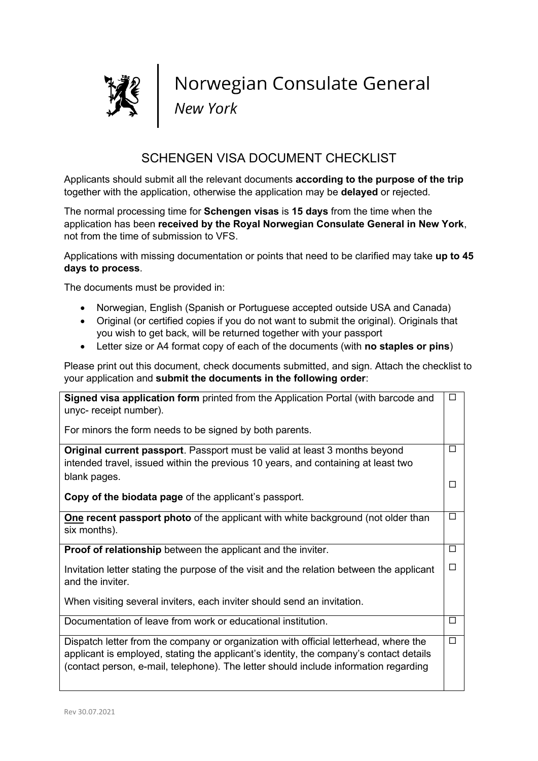

Norwegian Consulate General<br>New York

## SCHENGEN VISA DOCUMENT CHECKLIST

Applicants should submit all the relevant documents **according to the purpose of the trip** together with the application, otherwise the application may be **delayed** or rejected.

The normal processing time for **Schengen visas** is **15 days** from the time when the application has been **received by the Royal Norwegian Consulate General in New York**, not from the time of submission to VFS.

Applications with missing documentation or points that need to be clarified may take **up to 45 days to process**.

The documents must be provided in:

- Norwegian, English (Spanish or Portuguese accepted outside USA and Canada)
- Original (or certified copies if you do not want to submit the original). Originals that you wish to get back, will be returned together with your passport
- Letter size or A4 format copy of each of the documents (with **no staples or pins**)

Please print out this document, check documents submitted, and sign. Attach the checklist to your application and **submit the documents in the following order**:

| <b>Signed visa application form</b> printed from the Application Portal (with barcode and<br>unyc-receipt number).                                                                                                                                                     | □      |
|------------------------------------------------------------------------------------------------------------------------------------------------------------------------------------------------------------------------------------------------------------------------|--------|
| For minors the form needs to be signed by both parents.                                                                                                                                                                                                                |        |
| <b>Original current passport</b> . Passport must be valid at least 3 months beyond<br>intended travel, issued within the previous 10 years, and containing at least two                                                                                                | П      |
| blank pages.<br>Copy of the biodata page of the applicant's passport.                                                                                                                                                                                                  | П      |
| <b>One recent passport photo</b> of the applicant with white background (not older than<br>six months).                                                                                                                                                                | $\Box$ |
| <b>Proof of relationship</b> between the applicant and the inviter.                                                                                                                                                                                                    | $\Box$ |
| Invitation letter stating the purpose of the visit and the relation between the applicant<br>and the inviter.                                                                                                                                                          | П      |
| When visiting several inviters, each inviter should send an invitation.                                                                                                                                                                                                |        |
| Documentation of leave from work or educational institution.                                                                                                                                                                                                           | $\Box$ |
| Dispatch letter from the company or organization with official letterhead, where the<br>applicant is employed, stating the applicant's identity, the company's contact details<br>(contact person, e-mail, telephone). The letter should include information regarding | П      |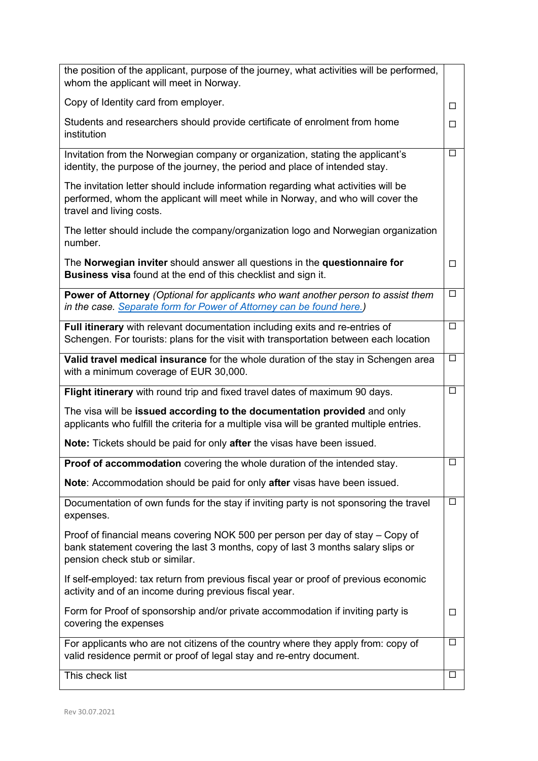| the position of the applicant, purpose of the journey, what activities will be performed,<br>whom the applicant will meet in Norway.                                                                 |        |
|------------------------------------------------------------------------------------------------------------------------------------------------------------------------------------------------------|--------|
| Copy of Identity card from employer.                                                                                                                                                                 | □      |
| Students and researchers should provide certificate of enrolment from home<br>institution                                                                                                            | □      |
| Invitation from the Norwegian company or organization, stating the applicant's<br>identity, the purpose of the journey, the period and place of intended stay.                                       | □      |
| The invitation letter should include information regarding what activities will be<br>performed, whom the applicant will meet while in Norway, and who will cover the<br>travel and living costs.    |        |
| The letter should include the company/organization logo and Norwegian organization<br>number.                                                                                                        |        |
| The Norwegian inviter should answer all questions in the questionnaire for<br>Business visa found at the end of this checklist and sign it.                                                          | $\Box$ |
| Power of Attorney (Optional for applicants who want another person to assist them<br>in the case. Separate form for Power of Attorney can be found here.)                                            | $\Box$ |
| Full itinerary with relevant documentation including exits and re-entries of<br>Schengen. For tourists: plans for the visit with transportation between each location                                | $\Box$ |
| Valid travel medical insurance for the whole duration of the stay in Schengen area<br>with a minimum coverage of EUR 30,000.                                                                         | Ц      |
| Flight itinerary with round trip and fixed travel dates of maximum 90 days.                                                                                                                          | $\Box$ |
| The visa will be issued according to the documentation provided and only<br>applicants who fulfill the criteria for a multiple visa will be granted multiple entries.                                |        |
| Note: Tickets should be paid for only after the visas have been issued.                                                                                                                              |        |
| Proof of accommodation covering the whole duration of the intended stay.                                                                                                                             | $\Box$ |
| Note: Accommodation should be paid for only after visas have been issued.                                                                                                                            |        |
| Documentation of own funds for the stay if inviting party is not sponsoring the travel<br>expenses.                                                                                                  | □      |
| Proof of financial means covering NOK 500 per person per day of stay – Copy of<br>bank statement covering the last 3 months, copy of last 3 months salary slips or<br>pension check stub or similar. |        |
| If self-employed: tax return from previous fiscal year or proof of previous economic<br>activity and of an income during previous fiscal year.                                                       |        |
| Form for Proof of sponsorship and/or private accommodation if inviting party is<br>covering the expenses                                                                                             | □      |
| For applicants who are not citizens of the country where they apply from: copy of<br>valid residence permit or proof of legal stay and re-entry document.                                            | $\Box$ |
| This check list                                                                                                                                                                                      | $\Box$ |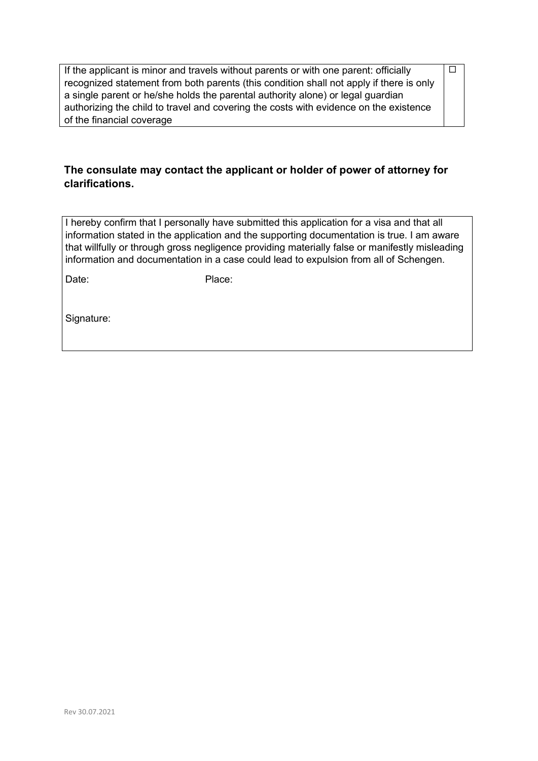If the applicant is minor and travels without parents or with one parent: officially recognized statement from both parents (this condition shall not apply if there is only a single parent or he/she holds the parental authority alone) or legal guardian authorizing the child to travel and covering the costs with evidence on the existence of the financial coverage

 $\overline{\Box}$ 

## **The consulate may contact the applicant or holder of power of attorney for clarifications.**

I hereby confirm that I personally have submitted this application for a visa and that all information stated in the application and the supporting documentation is true. I am aware that willfully or through gross negligence providing materially false or manifestly misleading information and documentation in a case could lead to expulsion from all of Schengen.

Date: Place:

Signature: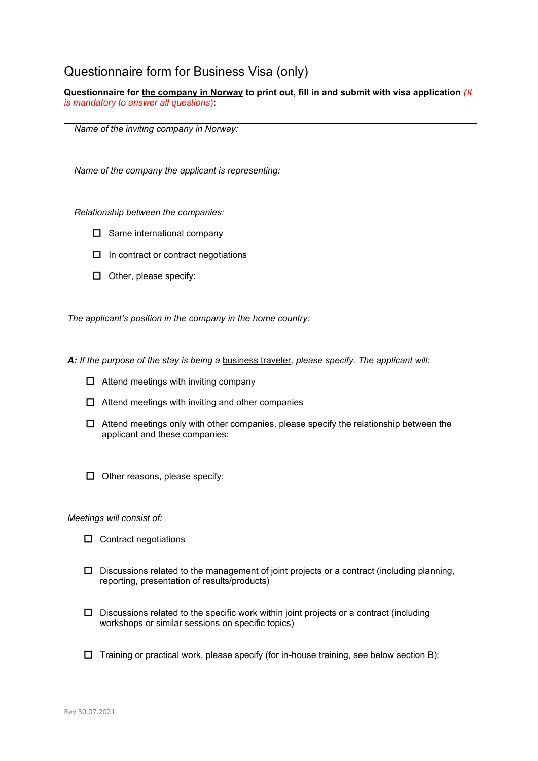## Questionnaire form for Business Visa (only)

**Questionnaire for the company in Norway to print out, fill in and submit with visa application** *(It is mandatory to answer all questions*)**:**

| Name of the inviting company in Norway:                                                                                                           |
|---------------------------------------------------------------------------------------------------------------------------------------------------|
| Name of the company the applicant is representing:                                                                                                |
| Relationship between the companies:                                                                                                               |
| Same international company<br>ப                                                                                                                   |
| In contract or contract negotiations                                                                                                              |
| Other, please specify:<br>$\mathbf{L}$                                                                                                            |
|                                                                                                                                                   |
| The applicant's position in the company in the home country:                                                                                      |
|                                                                                                                                                   |
| A: If the purpose of the stay is being a business traveler, please specify. The applicant will:                                                   |
| Attend meetings with inviting company<br>ப                                                                                                        |
| Attend meetings with inviting and other companies<br>ப                                                                                            |
| Attend meetings only with other companies, please specify the relationship between the<br>ப<br>applicant and these companies:                     |
| Other reasons, please specify:                                                                                                                    |
| Meetings will consist of:                                                                                                                         |
| Contract negotiations<br>ப                                                                                                                        |
| Discussions related to the management of joint projects or a contract (including planning,<br>ப<br>reporting, presentation of results/products)   |
| Discussions related to the specific work within joint projects or a contract (including<br>ப<br>workshops or similar sessions on specific topics) |
| Training or practical work, please specify (for in-house training, see below section B):<br>Ш                                                     |
|                                                                                                                                                   |